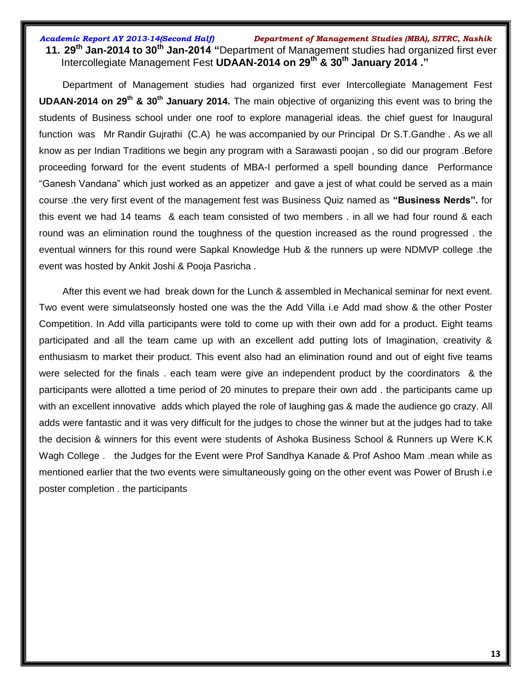## *Academic Report AY 2013-14(Second Half) Department of Management Studies (MBA), SITRC, Nashik* **11. 29th Jan-2014 to 30th Jan-2014 "**Department of Management studies had organized first ever

Intercollegiate Management Fest **UDAAN-2014 on 29th & 30th January 2014 ."**

Department of Management studies had organized first ever Intercollegiate Management Fest **UDAAN-2014 on 29th & 30th January 2014.** The main objective of organizing this event was to bring the students of Business school under one roof to explore managerial ideas. the chief guest for Inaugural function was Mr Randir Gujrathi (C.A) he was accompanied by our Principal Dr S.T.Gandhe . As we all know as per Indian Traditions we begin any program with a Sarawasti poojan , so did our program .Before proceeding forward for the event students of MBA-I performed a spell bounding dance Performance "Ganesh Vandana" which just worked as an appetizer and gave a jest of what could be served as a main course .the very first event of the management fest was Business Quiz named as **"Business Nerds".** for this event we had 14 teams & each team consisted of two members . in all we had four round & each round was an elimination round the toughness of the question increased as the round progressed . the eventual winners for this round were Sapkal Knowledge Hub & the runners up were NDMVP college .the event was hosted by Ankit Joshi & Pooja Pasricha .

After this event we had break down for the Lunch & assembled in Mechanical seminar for next event. Two event were simulatseonsly hosted one was the the Add Villa i.e Add mad show & the other Poster Competition. In Add villa participants were told to come up with their own add for a product. Eight teams participated and all the team came up with an excellent add putting lots of Imagination, creativity & enthusiasm to market their product. This event also had an elimination round and out of eight five teams were selected for the finals . each team were give an independent product by the coordinators & the participants were allotted a time period of 20 minutes to prepare their own add . the participants came up with an excellent innovative adds which played the role of laughing gas & made the audience go crazy. All adds were fantastic and it was very difficult for the judges to chose the winner but at the judges had to take the decision & winners for this event were students of Ashoka Business School & Runners up Were K.K Wagh College . the Judges for the Event were Prof Sandhya Kanade & Prof Ashoo Mam .mean while as mentioned earlier that the two events were simultaneously going on the other event was Power of Brush i.e poster completion . the participants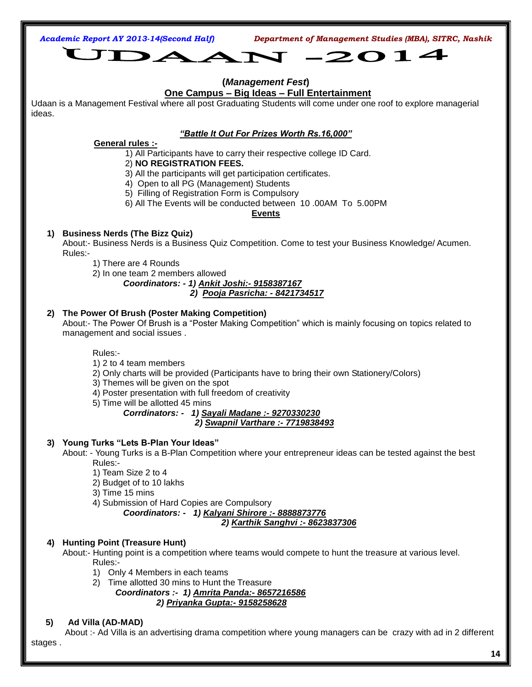

stages .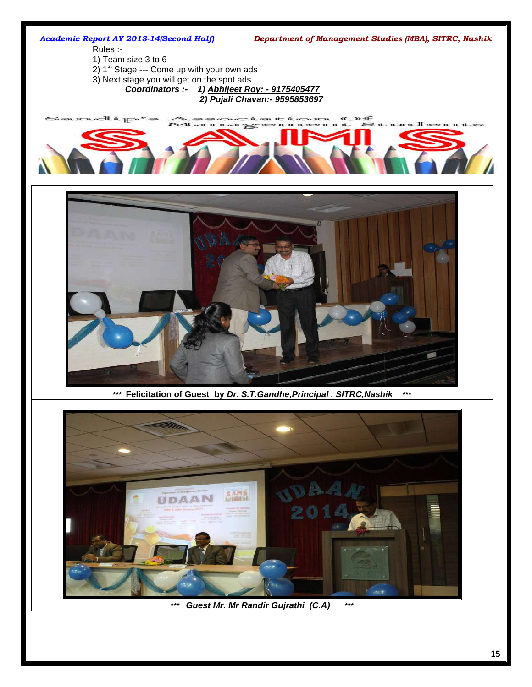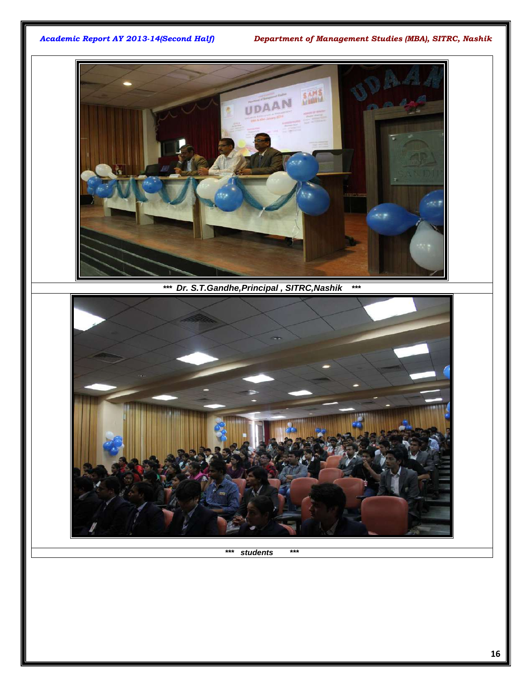

*\*\*\* students \*\*\**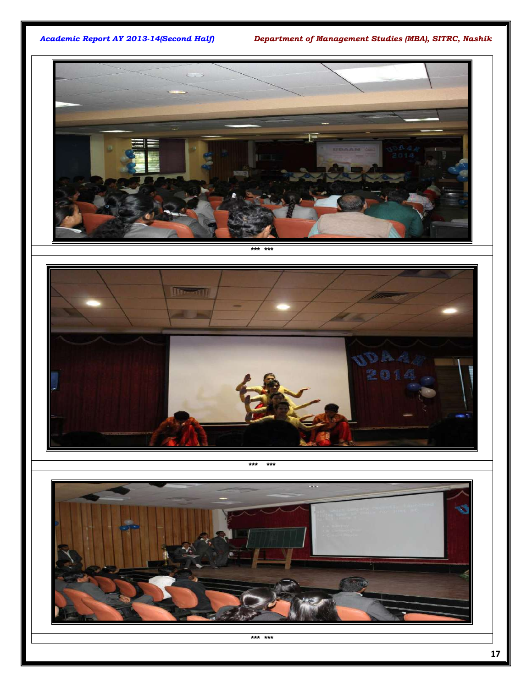

*\*\*\* \*\*\**



*\*\*\* \*\*\**



*\*\*\* \*\*\**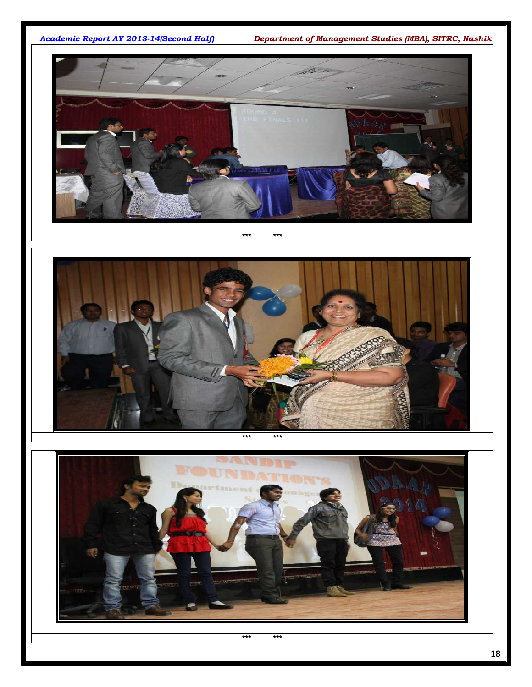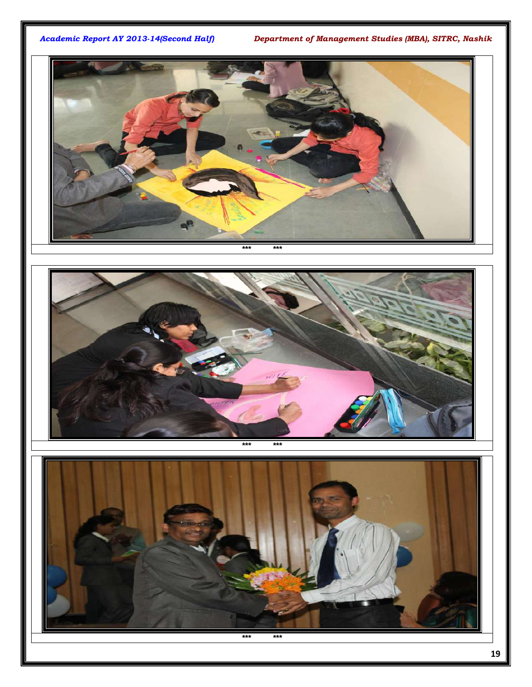

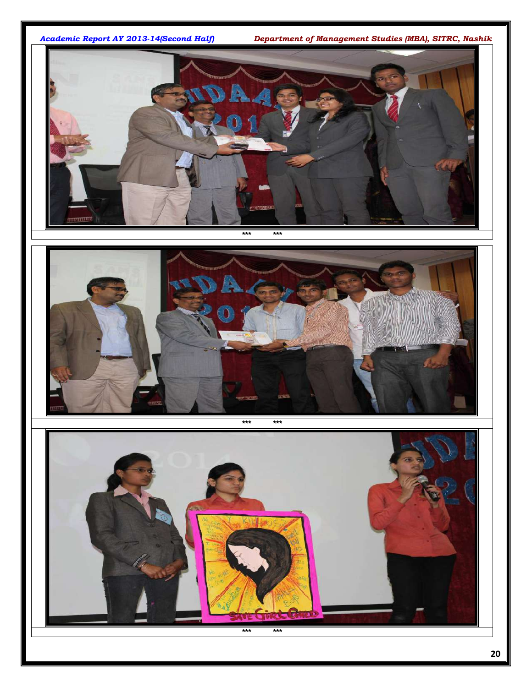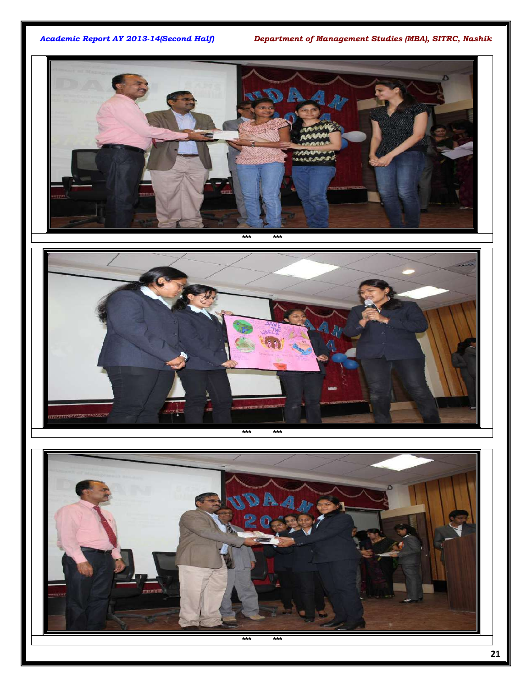



**21**